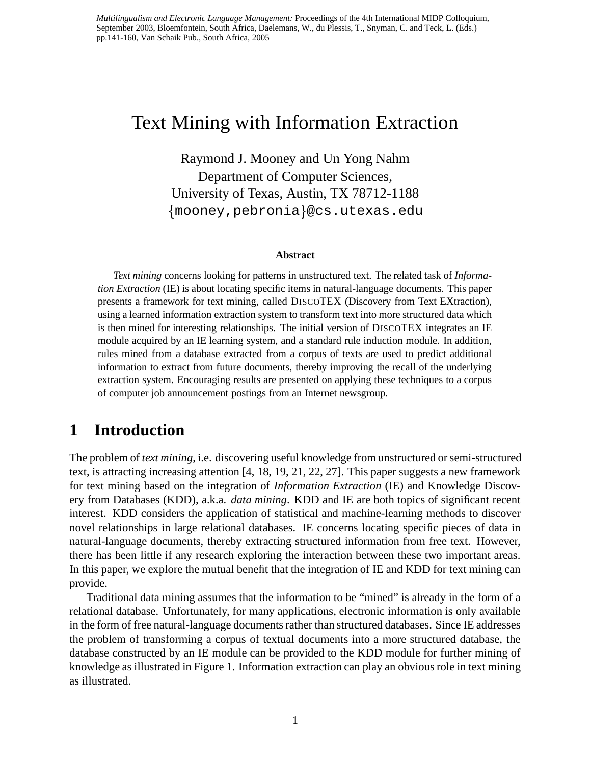*Multilingualism and Electronic Language Management:* Proceedings of the 4th International MIDP Colloquium, September 2003, Bloemfontein, South Africa, Daelemans, W., du Plessis, T., Snyman, C. and Teck, L. (Eds.) pp.141-160, Van Schaik Pub., South Africa, 2005

# Text Mining with Information Extraction

Raymond J. Mooney and Un Yong Nahm Department of Computer Sciences, University of Texas, Austin, TX 78712-1188 mooney,pebronia @cs.utexas.edu

#### **Abstract**

*Text mining* concerns looking for patterns in unstructured text. The related task of *Information Extraction* (IE) is about locating specific items in natural-language documents. This paper presents a framework for text mining, called DISCOTEX (Discovery from Text EXtraction), using a learned information extraction system to transform text into more structured data which is then mined for interesting relationships. The initial version of DISCOTEX integrates an IE module acquired by an IE learning system, and a standard rule induction module. In addition, rules mined from a database extracted from a corpus of texts are used to predict additional information to extract from future documents, thereby improving the recall of the underlying extraction system. Encouraging results are presented on applying these techniques to a corpus of computer job announcement postings from an Internet newsgroup.

## **1 Introduction**

The problem of *text mining*, i.e. discovering useful knowledge from unstructured orsemi-structured text, is attracting increasing attention [4, 18, 19, 21, 22, 27]. This paper suggests a new framework for text mining based on the integration of *Information Extraction* (IE) and Knowledge Discovery from Databases (KDD), a.k.a. *data mining*. KDD and IE are both topics of significant recent interest. KDD considers the application of statistical and machine-learning methods to discover novel relationships in large relational databases. IE concerns locating specific pieces of data in natural-language documents, thereby extracting structured information from free text. However, there has been little if any research exploring the interaction between these two important areas. In this paper, we explore the mutual benefit that the integration of IE and KDD for text mining can provide.

Traditional data mining assumes that the information to be "mined" is already in the form of a relational database. Unfortunately, for many applications, electronic information is only available in the form of free natural-language documentsrather than structured databases. Since IE addresses the problem of transforming a corpus of textual documents into a more structured database, the database constructed by an IE module can be provided to the KDD module for further mining of knowledge as illustrated in Figure 1. Information extraction can play an obviousrole in text mining as illustrated.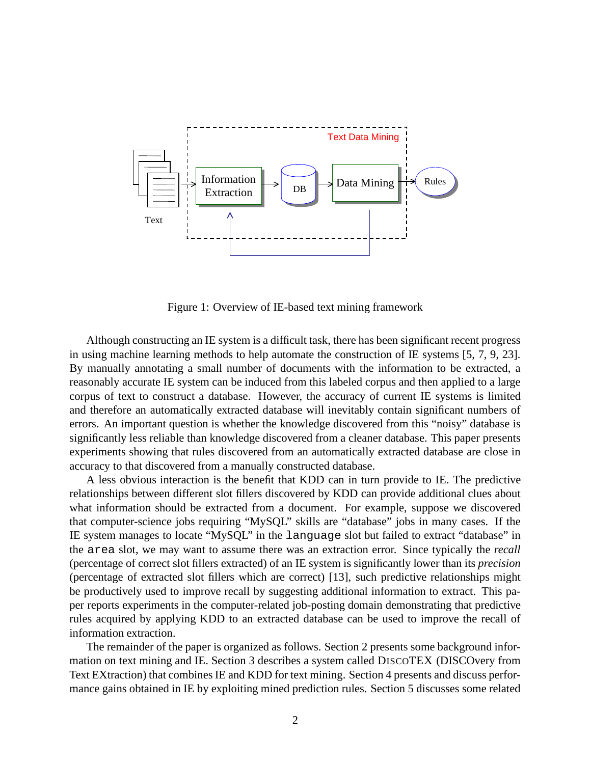

Figure 1: Overview of IE-based text mining framework

Although constructing an IE system is a difficult task, there has been significant recent progress in using machine learning methods to help automate the construction of IE systems [5, 7, 9, 23]. By manually annotating a small number of documents with the information to be extracted, a reasonably accurate IE system can be induced from this labeled corpus and then applied to a large corpus of text to construct a database. However, the accuracy of current IE systems is limited and therefore an automatically extracted database will inevitably contain significant numbers of errors. An important question is whether the knowledge discovered from this "noisy" database is significantly less reliable than knowledge discovered from a cleaner database. This paper presents experiments showing that rules discovered from an automatically extracted database are close in accuracy to that discovered from a manually constructed database.

A less obvious interaction is the benefit that KDD can in turn provide to IE. The predictive relationships between different slot fillers discovered by KDD can provide additional clues about what information should be extracted from a document. For example, suppose we discovered that computer-science jobs requiring "MySQL" skills are "database" jobs in many cases. If the IE system manages to locate "MySQL" in the language slot but failed to extract "database" in the area slot, we may want to assume there was an extraction error. Since typically the *recall* (percentage of correct slot fillers extracted) of an IE system is significantly lower than its *precision* (percentage of extracted slot fillers which are correct) [13], such predictive relationships might be productively used to improve recall by suggesting additional information to extract. This paper reports experiments in the computer-related job-posting domain demonstrating that predictive rules acquired by applying KDD to an extracted database can be used to improve the recall of information extraction.

The remainder of the paper is organized as follows. Section 2 presents some background information on text mining and IE. Section 3 describes a system called DISCOTEX (DISCOvery from Text EXtraction) that combines IE and KDD for text mining. Section 4 presents and discuss performance gains obtained in IE by exploiting mined prediction rules. Section 5 discusses some related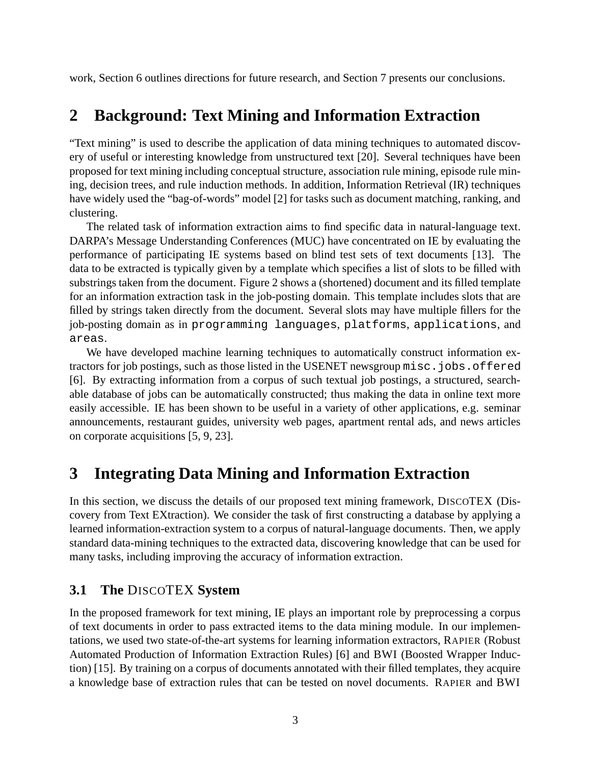work, Section 6 outlines directions for future research, and Section 7 presents our conclusions.

## **2 Background: Text Mining and Information Extraction**

"Text mining" is used to describe the application of data mining techniques to automated discovery of useful or interesting knowledge from unstructured text [20]. Several techniques have been proposed for text mining including conceptual structure, association rule mining, episode rule mining, decision trees, and rule induction methods. In addition, Information Retrieval (IR) techniques have widely used the "bag-of-words" model [2] for tasks such as document matching, ranking, and clustering.

The related task of information extraction aims to find specific data in natural-language text. DARPA's Message Understanding Conferences (MUC) have concentrated on IE by evaluating the performance of participating IE systems based on blind test sets of text documents [13]. The data to be extracted is typically given by a template which specifies a list of slots to be filled with substrings taken from the document. Figure 2 shows a (shortened) document and its filled template for an information extraction task in the job-posting domain. This template includes slots that are filled by strings taken directly from the document. Several slots may have multiple fillers for the job-posting domain as in programming languages, platforms, applications, and areas.

We have developed machine learning techniques to automatically construct information extractors for job postings, such as those listed in the USENET newsgroup misc.jobs.offered [6]. By extracting information from a corpus of such textual job postings, a structured, searchable database of jobs can be automatically constructed; thus making the data in online text more easily accessible. IE has been shown to be useful in a variety of other applications, e.g. seminar announcements, restaurant guides, university web pages, apartment rental ads, and news articles on corporate acquisitions [5, 9, 23].

# **3 Integrating Data Mining and Information Extraction**

In this section, we discuss the details of our proposed text mining framework, DISCOTEX (Discovery from Text EXtraction). We consider the task of first constructing a database by applying a learned information-extraction system to a corpus of natural-language documents. Then, we apply standard data-mining techniques to the extracted data, discovering knowledge that can be used for many tasks, including improving the accuracy of information extraction.

### **3.1 The** DISCOTEX **System**

In the proposed framework for text mining, IE plays an important role by preprocessing a corpus of text documents in order to pass extracted items to the data mining module. In our implementations, we used two state-of-the-art systems for learning information extractors, RAPIER (Robust Automated Production of Information Extraction Rules) [6] and BWI (Boosted Wrapper Induction) [15]. By training on a corpus of documents annotated with their filled templates, they acquire a knowledge base of extraction rules that can be tested on novel documents. RAPIER and BWI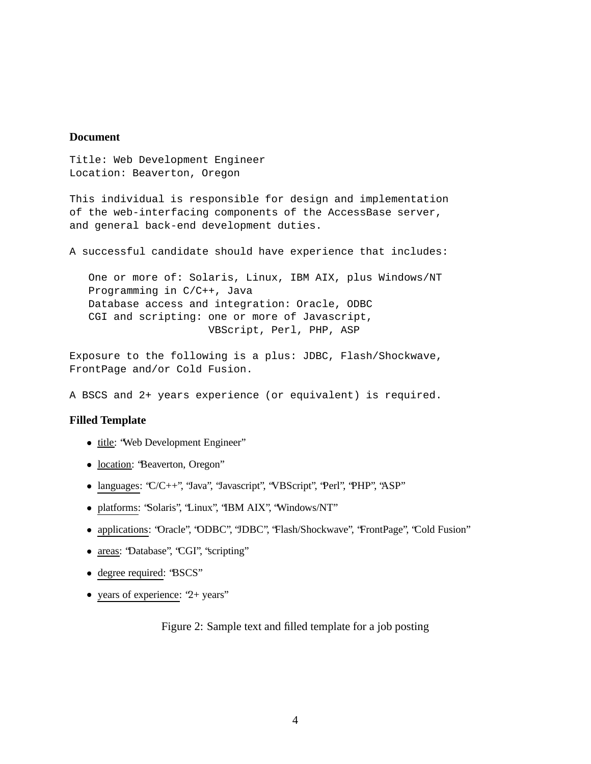### **Document**

Title: Web Development Engineer Location: Beaverton, Oregon

This individual is responsible for design and implementation of the web-interfacing components of the AccessBase server, and general back-end development duties.

A successful candidate should have experience that includes:

One or more of: Solaris, Linux, IBM AIX, plus Windows/NT Programming in C/C++, Java Database access and integration: Oracle, ODBC CGI and scripting: one or more of Javascript, VBScript, Perl, PHP, ASP

Exposure to the following is a plus: JDBC, Flash/Shockwave, FrontPage and/or Cold Fusion.

A BSCS and 2+ years experience (or equivalent) is required.

### **Filled Template**

- title: "Web Development Engineer"
- location: 'Beaverton, Oregon'
- languages: 'C/C++'', 'Java'', 'Javascript'', 'VBScript'', 'Perl'', 'PHP'', 'ASP'
- platforms: "Solaris", "Linux", "IBM AIX", "Windows/NT"
- applications: "Oracle", "ODBC", "JDBC", "Flash/Shockwave", "FrontPage", "Cold Fusion"
- areas: 'Database'', 'CGI'', 'scripting'
- degree required: "BSCS"
- years of experience: '2+ years'

Figure 2: Sample text and filled template for a job posting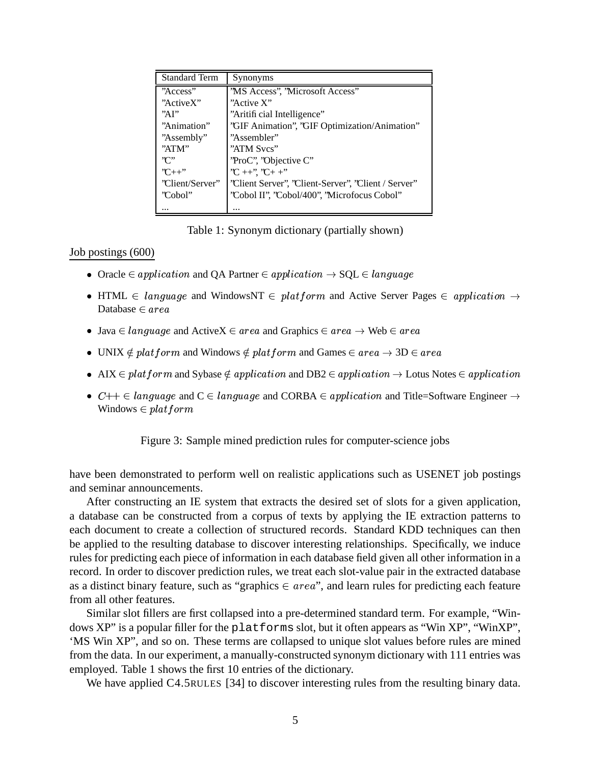| <b>Standard Term</b> | Synonyms                                               |  |  |
|----------------------|--------------------------------------------------------|--|--|
| "Access"             | 'MS Access'', 'Microsoft Access''                      |  |  |
| "ActiveX"            | "Active X"                                             |  |  |
| "AP"                 | "Aritificial Intelligence"                             |  |  |
| "Animation"          | "GIF Animation", "GIF Optimization/Animation"          |  |  |
| "Assembly"           | "Assembler"                                            |  |  |
| "ATM"                | "ATM Sves"                                             |  |  |
| ''∩''                | 'ProC'', 'Objective C''                                |  |  |
| $C_{++}$ "           | ${}^{7}C+{}^{+7}$ , ${}^{7}C+{}^{+7}$                  |  |  |
| 'Client/Server''     | 'Client Server'', 'Client-Server'', 'Client / Server'' |  |  |
| 'Cobol''             | 'Cobol II'', 'Cobol/400'', 'Microfocus Cobol''         |  |  |
|                      |                                                        |  |  |

Table 1: Synonym dictionary (partially shown)

### Job postings (600)

- Oracle  $\in application$  and QA Partner  $\in application \rightarrow SQL \in language$
- HTML  $\in$  language and WindowsNT  $\in$  platform and Active Server Pages  $\in$  application  $\rightarrow$ Database  $\in area$
- Java  $\in$  language and ActiveX  $\in$  area and Graphics  $\in$  area  $\rightarrow$  Web  $\in$  area
- UNIX  $\notin plant form$  and Windows  $\notin platform$  and Games  $\in area \rightarrow 3D \in area$
- AIX  $\in$  platform and Sybase  $\notin$  application and DB2  $\in$  application  $\rightarrow$  Lotus Notes  $\in$  application
- $C++ \in language$  and  $C \in language$  and  $CORBA \in application$  and Title=Software Engineer  $\rightarrow$ Windows  $\in$  platform

Figure 3: Sample mined prediction rules for computer-science jobs

have been demonstrated to perform well on realistic applications such as USENET job postings and seminar announcements.

After constructing an IE system that extracts the desired set of slots for a given application, a database can be constructed from a corpus of texts by applying the IE extraction patterns to each document to create a collection of structured records. Standard KDD techniques can then be applied to the resulting database to discover interesting relationships. Specifically, we induce rules for predicting each piece of information in each database field given all other information in a record. In order to discover prediction rules, we treat each slot-value pair in the extracted database as a distinct binary feature, such as "graphics  $\in area$ ", and learn rules for predicting each feature from all other features.

Similar slot fillers are first collapsed into a pre-determined standard term. For example, "Windows XP" is a popular filler for the platforms slot, but it often appears as "Win XP", "WinXP", 'MS Win XP", and so on. These terms are collapsed to unique slot values before rules are mined from the data. In our experiment, a manually-constructed synonym dictionary with 111 entries was employed. Table 1 shows the first 10 entries of the dictionary.

We have applied C4.5RULES [34] to discover interesting rules from the resulting binary data.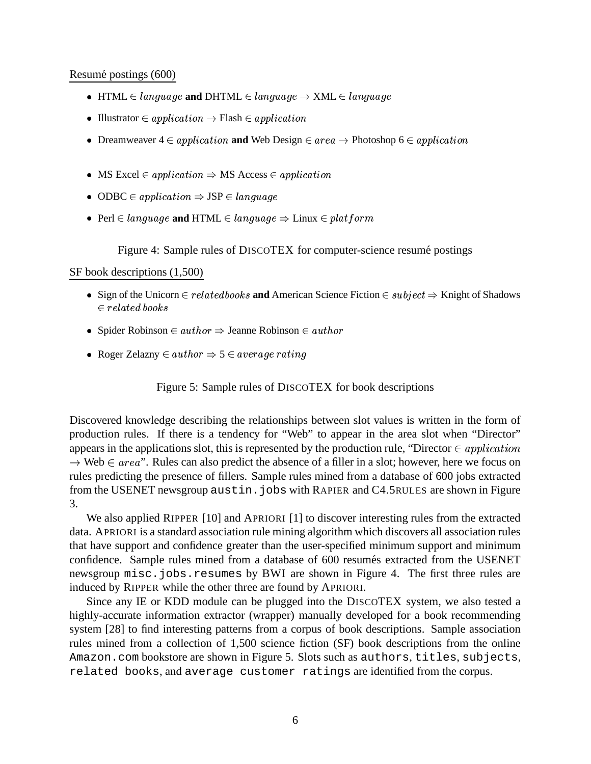#### Resumé postings (600)

- $\bullet\ \ \mathrm{HTML} \in \mathit{language} \ \mathbf{and} \ \mathrm{DHTML} \in \mathit{language} \rightarrow \mathrm{XML} \in \mathit{language}$
- Illustrator  $\in application \rightarrow Flash \in application$
- Dreamweaver  $4 \in application$  and Web Design  $\in area \rightarrow \text{Photoshop 6} \in application$
- MS Excel  $\in application \Rightarrow MS$  Access  $\in application$
- ODBC  $\in application \Rightarrow JSP \in language$
- Perl  $\in$  language and HTML  $\in$  language  $\Rightarrow$  Linux  $\in$  platform

Figure 4: Sample rules of DISCOTEX for computer-science resume postings

#### SF book descriptions (1,500)

- Sign of the Unicorn  $\in$  relatedbooks and American Science Fiction  $\in$  subject  $\Rightarrow$  Knight of Shadows -%!) 
-4
- Spider Robinson  $\in$  author  $\Rightarrow$  Jeanne Robinson  $\in$  author
- Roger Zelazny  $\in$  author  $\Rightarrow$  5  $\in$  average rating

Figure 5: Sample rules of DISCOTEX for book descriptions

Discovered knowledge describing the relationships between slot values is written in the form of production rules. If there is a tendency for "Web" to appear in the area slot when "Director" appears in the applications slot, this is represented by the production rule, "Director  $\in application$  $\rightarrow$  Web  $\in area$ ". Rules can also predict the absence of a filler in a slot; however, here we focus on rules predicting the presence of fillers. Sample rules mined from a database of 600 jobs extracted from the USENET newsgroup austin.jobs with RAPIER and C4.5RULES are shown in Figure 3.

We also applied RIPPER [10] and APRIORI [1] to discover interesting rules from the extracted data. APRIORI is a standard association rule mining algorithm which discovers all association rules that have support and confidence greater than the user-specified minimum support and minimum confidence. Sample rules mined from a database of 600 resumes extracted from the USENET newsgroup misc.jobs.resumes by BWI are shown in Figure 4. The first three rules are induced by RIPPER while the other three are found by APRIORI.

Since any IE or KDD module can be plugged into the DISCOTEX system, we also tested a highly-accurate information extractor (wrapper) manually developed for a book recommending system [28] to find interesting patterns from a corpus of book descriptions. Sample association rules mined from a collection of 1,500 science fiction (SF) book descriptions from the online Amazon.com bookstore are shown in Figure 5. Slots such as authors, titles, subjects, related books, and average customer ratings are identified from the corpus.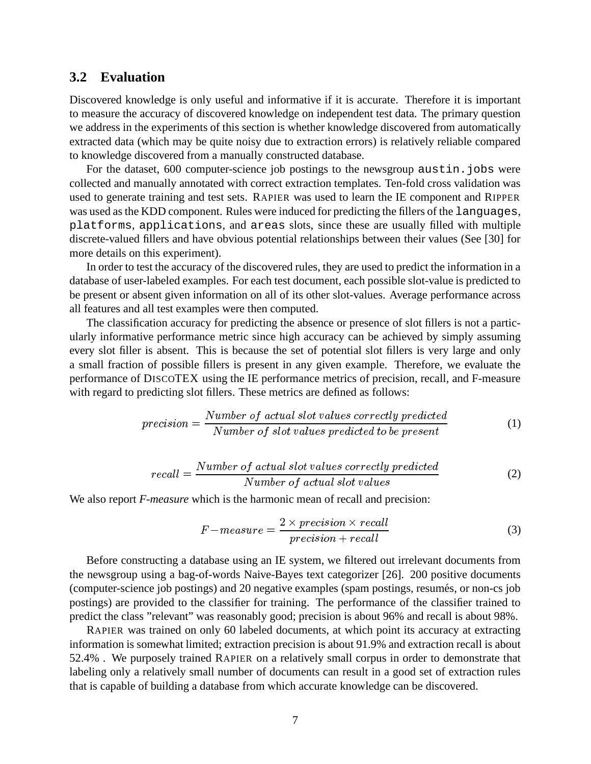### **3.2 Evaluation**

Discovered knowledge is only useful and informative if it is accurate. Therefore it is important to measure the accuracy of discovered knowledge on independent test data. The primary question we address in the experiments of this section is whether knowledge discovered from automatically extracted data (which may be quite noisy due to extraction errors) is relatively reliable compared to knowledge discovered from a manually constructed database.

For the dataset, 600 computer-science job postings to the newsgroup austin.jobs were collected and manually annotated with correct extraction templates. Ten-fold cross validation was used to generate training and test sets. RAPIER was used to learn the IE component and RIPPER was used asthe KDD component. Rules were induced for predicting the fillers of the languages, platforms, applications, and areas slots, since these are usually filled with multiple discrete-valued fillers and have obvious potential relationships between their values (See [30] for more details on this experiment).

In order to test the accuracy of the discovered rules, they are used to predict the information in a database of user-labeled examples. For each test document, each possible slot-value is predicted to be present or absent given information on all of its other slot-values. Average performance across all features and all test examples were then computed.

The classification accuracy for predicting the absence or presence of slot fillers is not a particularly informative performance metric since high accuracy can be achieved by simply assuming every slot filler is absent. This is because the set of potential slot fillers is very large and only a small fraction of possible fillers is present in any given example. Therefore, we evaluate the performance of DISCOTEX using the IE performance metrics of precision, recall, and F-measure with regard to predicting slot fillers. These metrics are defined as follows:

$$
precision = \frac{Number\ of\ actual\ slot\ values\ correctly\ predicted}{Number\ of\ slot\ values\ predicted\ to\ be\ present} \tag{1}
$$

$$
recall = \frac{Number\ of\ actual\ slot\ values\ correctly\ predicted}{Number\ of\ actual\ slot\ values}
$$
\n(2)

We also report *F-measure* which is the harmonic mean of recall and precision:

$$
F-measure = \frac{2 \times precision \times recall}{precision + recall}
$$
 (3)

Before constructing a database using an IE system, we filtered out irrelevant documents from the newsgroup using a bag-of-words Naive-Bayes text categorizer [26]. 200 positive documents (computer-science job postings) and 20 negative examples (spam postings, resumés, or non-cs job postings) are provided to the classifier for training. The performance of the classifier trained to predict the class "relevant" was reasonably good; precision is about 96% and recall is about 98%.

RAPIER was trained on only 60 labeled documents, at which point its accuracy at extracting information is somewhat limited; extraction precision is about 91.9% and extraction recall is about 52.4% . We purposely trained RAPIER on a relatively small corpus in order to demonstrate that labeling only a relatively small number of documents can result in a good set of extraction rules that is capable of building a database from which accurate knowledge can be discovered.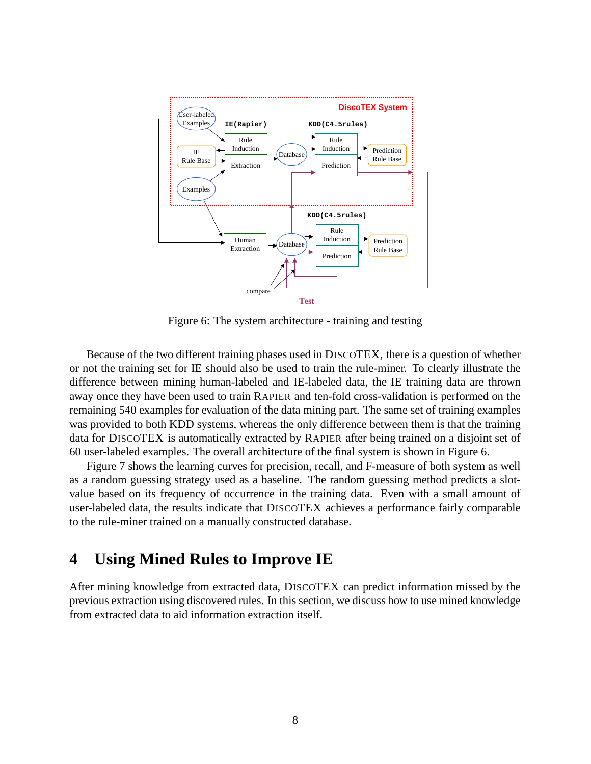

Figure 6: The system architecture - training and testing

Because of the two different training phases used in DISCOTEX, there is a question of whether or not the training set for IE should also be used to train the rule-miner. To clearly illustrate the difference between mining human-labeled and IE-labeled data, the IE training data are thrown away once they have been used to train RAPIER and ten-fold cross-validation is performed on the remaining 540 examples for evaluation of the data mining part. The same set of training examples was provided to both KDD systems, whereas the only difference between them is that the training data for DISCOTEX is automatically extracted by RAPIER after being trained on a disjoint set of 60 user-labeled examples. The overall architecture of the final system is shown in Figure 6.

Figure 7 shows the learning curves for precision, recall, and F-measure of both system as well as a random guessing strategy used as a baseline. The random guessing method predicts a slotvalue based on its frequency of occurrence in the training data. Even with a small amount of user-labeled data, the results indicate that DISCOTEX achieves a performance fairly comparable to the rule-miner trained on a manually constructed database.

## **4 Using Mined Rules to Improve IE**

After mining knowledge from extracted data, DISCOTEX can predict information missed by the previous extraction using discovered rules. In this section, we discuss how to use mined knowledge from extracted data to aid information extraction itself.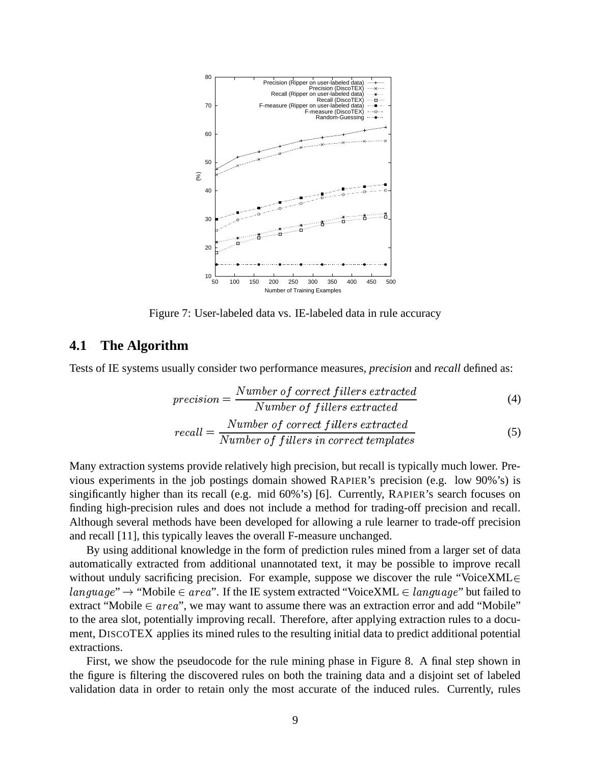

Figure 7: User-labeled data vs. IE-labeled data in rule accuracy

### **4.1 The Algorithm**

Tests of IE systems usually consider two performance measures, *precision* and *recall* defined as:

$$
precision = \frac{Number\ of\ correct\ filters\ extracted}{Number\ of\ filters\ extracted}
$$
\n
$$
recall = \frac{Number\ of\ correct\ filters\ extracted}{Number\ of\ filters\ in\ correct\ templates}
$$
\n(5)

Many extraction systems provide relatively high precision, but recall is typically much lower. Previous experiments in the job postings domain showed RAPIER's precision (e.g. low 90%'s) is singificantly higher than its recall (e.g. mid 60%'s) [6]. Currently, RAPIER's search focuses on finding high-precision rules and does not include a method for trading-off precision and recall. Although several methods have been developed for allowing a rule learner to trade-off precision and recall [11], this typically leaves the overall F-measure unchanged.

By using additional knowledge in the form of prediction rules mined from a larger set of data automatically extracted from additional unannotated text, it may be possible to improve recall without unduly sacrificing precision. For example, suppose we discover the rule "VoiceXML $\in$   $age " \rightarrow "Mobile \in area".$  If the IE system extracted "VoiceXML  $\in language"$  but fa  $age"$  but failed to extract "Mobile  $\in area$ ", we may want to assume there was an extraction error and add "Mobile" to the area slot, potentially improving recall. Therefore, after applying extraction rules to a document, DISCOTEX applies its mined rules to the resulting initial data to predict additional potential extractions.

First, we show the pseudocode for the rule mining phase in Figure 8. A final step shown in the figure is filtering the discovered rules on both the training data and a disjoint set of labeled validation data in order to retain only the most accurate of the induced rules. Currently, rules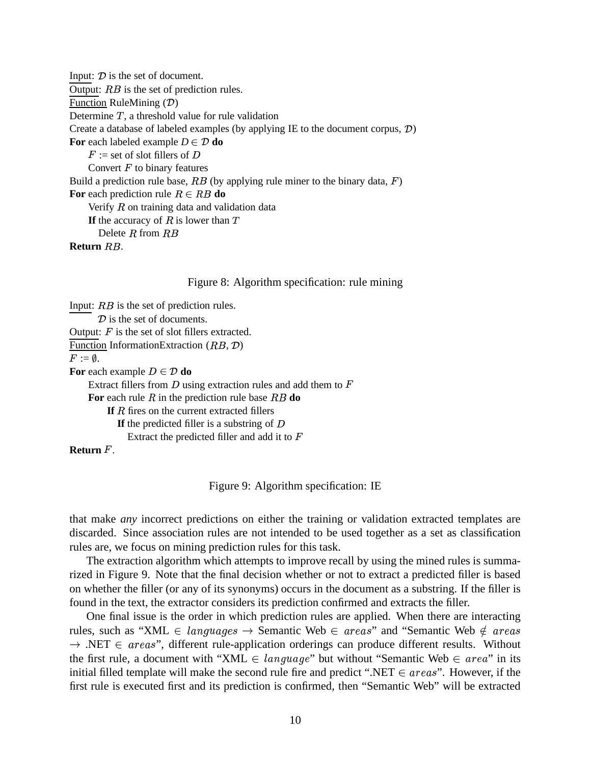Input:  $\mathcal{D}$  is the set of document. Output:  $RB$  is the set of prediction rules. Function RuleMining  $(D)$ Determine  $T$ , a threshold value for rule validation Create a database of labeled examples (by applying IE to the document corpus,  $\mathcal{D}$ ) **For** each labeled example  $D \in \mathcal{D}$  **do**  $F :=$  set of slot fillers of D Convert  $F$  to binary features Build a prediction rule base,  $RB$  (by applying rule miner to the binary data,  $F$ ) For each prediction rule  $R \in RB$  do Verify  $R$  on training data and validation data **If** the accuracy of  $R$  is lower than  $T$ Delete  $R$  from  $RB$  $\mathbf R$ eturn  $RB$ .

### Figure 8: Algorithm specification: rule mining

Input:  $RB$  is the set of prediction rules.  $\mathcal{D}$  is the set of documents. Output:  $F$  is the set of slot fillers extracted. Function InformationExtraction  $(RB, \mathcal{D})$  $F:=\emptyset.$ For each example  $D \in \mathcal{D}$  do Extract fillers from  $D$  using extraction rules and add them to  $F$ For each rule  $R$  in the prediction rule base  $RB$  do **If** *R* fires on the current extracted fillers **If** the predicted filler is a substring of D Extract the predicted filler and add it to  $F$ **Return** .

Figure 9: Algorithm specification: IE

that make *any* incorrect predictions on either the training or validation extracted templates are discarded. Since association rules are not intended to be used together as a set as classification rules are, we focus on mining prediction rules for this task.

The extraction algorithm which attempts to improve recall by using the mined rules is summarized in Figure 9. Note that the final decision whether or not to extract a predicted filler is based on whether the filler (or any of its synonyms) occurs in the document as a substring. If the filler is found in the text, the extractor considers its prediction confirmed and extracts the filler.

One final issue is the order in which prediction rules are applied. When there are interacting rules, such as "XML  $\in$  languages  $\rightarrow$  Se  $ages \rightarrow$  Semantic Web  $\in$  areas" and "Semantic Web  $\notin$  areas  $\rightarrow$  .NET  $\in$  areas", different rule-application orderings can produce different results. Without the first rule, a document with "XML  $\in$  language" but w *age*" but without "Semantic Web  $\in$  *area*" in its initial filled template will make the second rule fire and predict ".NET  $\in \text{areas}$ ". However, if the first rule is executed first and its prediction is confirmed, then "Semantic Web" will be extracted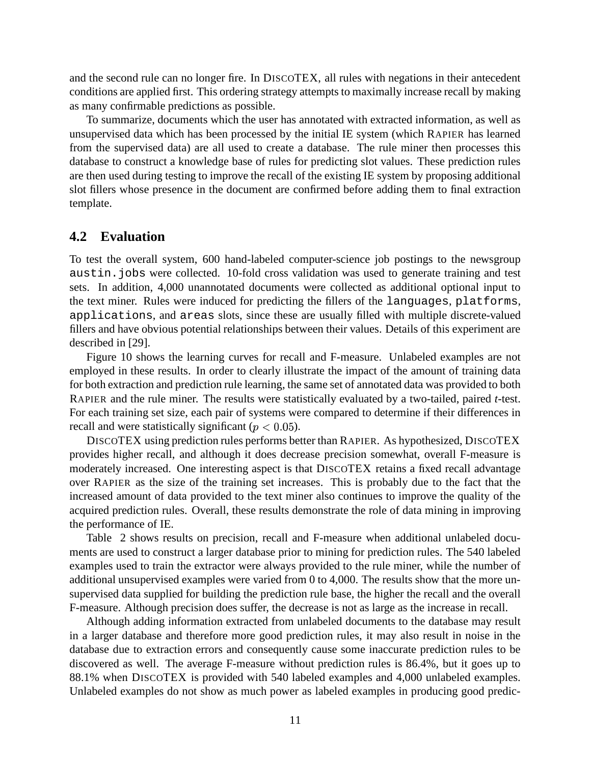and the second rule can no longer fire. In DISCOTEX, all rules with negations in their antecedent conditions are applied first. This ordering strategy attempts to maximally increase recall by making as many confirmable predictions as possible.

To summarize, documents which the user has annotated with extracted information, as well as unsupervised data which has been processed by the initial IE system (which RAPIER has learned from the supervised data) are all used to create a database. The rule miner then processes this database to construct a knowledge base of rules for predicting slot values. These prediction rules are then used during testing to improve the recall of the existing IE system by proposing additional slot fillers whose presence in the document are confirmed before adding them to final extraction template.

### **4.2 Evaluation**

To test the overall system, 600 hand-labeled computer-science job postings to the newsgroup austin.jobs were collected. 10-fold cross validation was used to generate training and test sets. In addition, 4,000 unannotated documents were collected as additional optional input to the text miner. Rules were induced for predicting the fillers of the languages, platforms, applications, and areas slots, since these are usually filled with multiple discrete-valued fillers and have obvious potential relationships between their values. Details of this experiment are described in [29].

Figure 10 shows the learning curves for recall and F-measure. Unlabeled examples are not employed in these results. In order to clearly illustrate the impact of the amount of training data for both extraction and prediction rule learning, the same set of annotated data was provided to both RAPIER and the rule miner. The results were statistically evaluated by a two-tailed, paired *t*-test. For each training set size, each pair of systems were compared to determine if their differences in recall and were statistically significant ( $p < 0.05$ ).

DISCOTEX using prediction rules performs better than RAPIER. As hypothesized, DISCOTEX provides higher recall, and although it does decrease precision somewhat, overall F-measure is moderately increased. One interesting aspect is that DISCOTEX retains a fixed recall advantage over RAPIER as the size of the training set increases. This is probably due to the fact that the increased amount of data provided to the text miner also continues to improve the quality of the acquired prediction rules. Overall, these results demonstrate the role of data mining in improving the performance of IE.

Table 2 shows results on precision, recall and F-measure when additional unlabeled documents are used to construct a larger database prior to mining for prediction rules. The 540 labeled examples used to train the extractor were always provided to the rule miner, while the number of additional unsupervised examples were varied from 0 to 4,000. The results show that the more unsupervised data supplied for building the prediction rule base, the higher the recall and the overall F-measure. Although precision does suffer, the decrease is not as large as the increase in recall.

Although adding information extracted from unlabeled documents to the database may result in a larger database and therefore more good prediction rules, it may also result in noise in the database due to extraction errors and consequently cause some inaccurate prediction rules to be discovered as well. The average F-measure without prediction rules is 86.4%, but it goes up to 88.1% when DISCOTEX is provided with 540 labeled examples and 4,000 unlabeled examples. Unlabeled examples do not show as much power as labeled examples in producing good predic-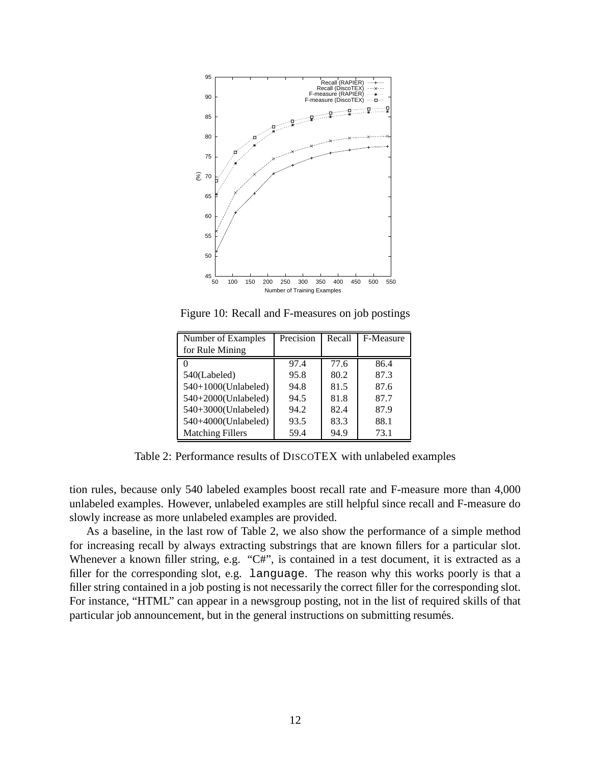

Figure 10: Recall and F-measures on job postings

| Number of Examples      | Precision | Recall | F-Measure |
|-------------------------|-----------|--------|-----------|
| for Rule Mining         |           |        |           |
|                         | 97.4      | 77.6   | 86.4      |
| 540(Labeled)            | 95.8      | 80.2   | 87.3      |
| 540+1000(Unlabeled)     | 94.8      | 81.5   | 87.6      |
| 540+2000(Unlabeled)     | 94.5      | 81.8   | 87.7      |
| 540+3000(Unlabeled)     | 94.2      | 82.4   | 87.9      |
| 540+4000(Unlabeled)     | 93.5      | 83.3   | 88.1      |
| <b>Matching Fillers</b> | 59.4      | 94.9   | 73.1      |

Table 2: Performance results of DISCOTEX with unlabeled examples

tion rules, because only 540 labeled examples boost recall rate and F-measure more than 4,000 unlabeled examples. However, unlabeled examples are still helpful since recall and F-measure do slowly increase as more unlabeled examples are provided.

As a baseline, in the last row of Table 2, we also show the performance of a simple method for increasing recall by always extracting substrings that are known fillers for a particular slot. Whenever a known filler string, e.g. "C#", is contained in a test document, it is extracted as a filler for the corresponding slot, e.g. language. The reason why this works poorly is that a filler string contained in a job posting is not necessarily the correct filler for the corresponding slot. For instance, "HTML" can appear in a newsgroup posting, not in the list of required skills of that particular job announcement, but in the general instructions on submitting resumés.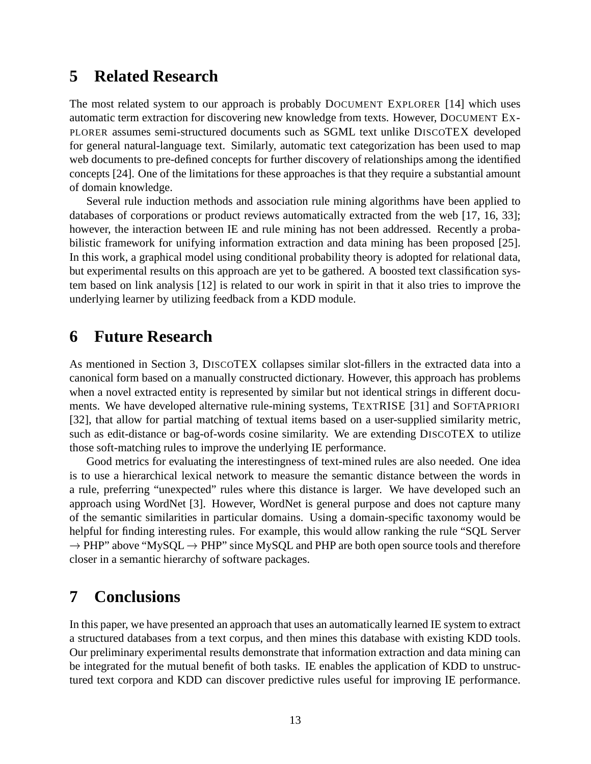## **5 Related Research**

The most related system to our approach is probably DOCUMENT EXPLORER [14] which uses automatic term extraction for discovering new knowledge from texts. However, DOCUMENT EX-PLORER assumes semi-structured documents such as SGML text unlike DISCOTEX developed for general natural-language text. Similarly, automatic text categorization has been used to map web documents to pre-defined concepts for further discovery of relationships among the identified concepts [24]. One of the limitations for these approaches is that they require a substantial amount of domain knowledge.

Several rule induction methods and association rule mining algorithms have been applied to databases of corporations or product reviews automatically extracted from the web [17, 16, 33]; however, the interaction between IE and rule mining has not been addressed. Recently a probabilistic framework for unifying information extraction and data mining has been proposed [25]. In this work, a graphical model using conditional probability theory is adopted for relational data, but experimental results on this approach are yet to be gathered. A boosted text classification system based on link analysis [12] is related to our work in spirit in that it also tries to improve the underlying learner by utilizing feedback from a KDD module.

## **6 Future Research**

As mentioned in Section 3, DISCOTEX collapses similar slot-fillers in the extracted data into a canonical form based on a manually constructed dictionary. However, this approach has problems when a novel extracted entity is represented by similar but not identical strings in different documents. We have developed alternative rule-mining systems, TEXTRISE [31] and SOFTAPRIORI [32], that allow for partial matching of textual items based on a user-supplied similarity metric, such as edit-distance or bag-of-words cosine similarity. We are extending DISCOTEX to utilize those soft-matching rules to improve the underlying IE performance.

Good metrics for evaluating the interestingness of text-mined rules are also needed. One idea is to use a hierarchical lexical network to measure the semantic distance between the words in a rule, preferring "unexpected" rules where this distance is larger. We have developed such an approach using WordNet [3]. However, WordNet is general purpose and does not capture many of the semantic similarities in particular domains. Using a domain-specific taxonomy would be helpful for finding interesting rules. For example, this would allow ranking the rule "SQL Server  $\rightarrow$  PHP" above "MySQL  $\rightarrow$  PHP" since MySQL and PHP are both open source tools and therefore closer in a semantic hierarchy of software packages.

# **7 Conclusions**

In this paper, we have presented an approach that uses an automatically learned IE system to extract a structured databases from a text corpus, and then mines this database with existing KDD tools. Our preliminary experimental results demonstrate that information extraction and data mining can be integrated for the mutual benefit of both tasks. IE enables the application of KDD to unstructured text corpora and KDD can discover predictive rules useful for improving IE performance.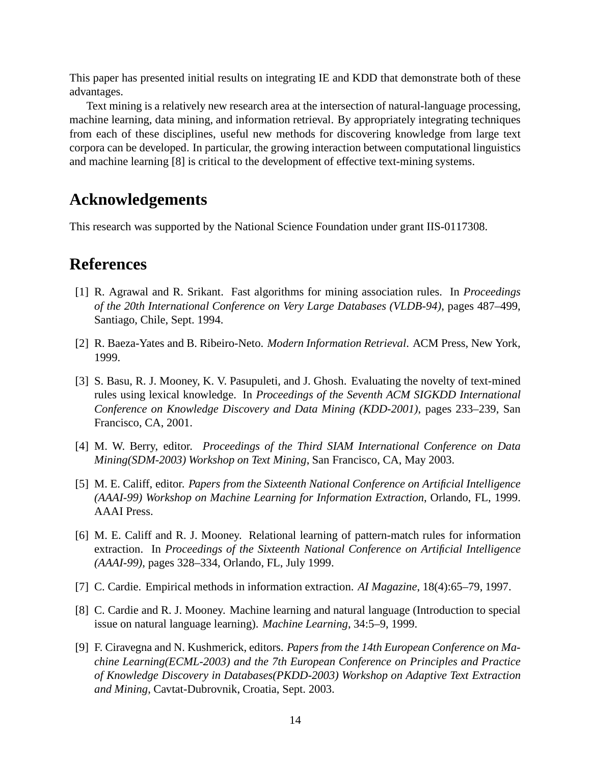This paper has presented initial results on integrating IE and KDD that demonstrate both of these advantages.

Text mining is a relatively new research area at the intersection of natural-language processing, machine learning, data mining, and information retrieval. By appropriately integrating techniques from each of these disciplines, useful new methods for discovering knowledge from large text corpora can be developed. In particular, the growing interaction between computational linguistics and machine learning [8] is critical to the development of effective text-mining systems.

## **Acknowledgements**

This research was supported by the National Science Foundation under grant IIS-0117308.

## **References**

- [1] R. Agrawal and R. Srikant. Fast algorithms for mining association rules. In *Proceedings of the 20th International Conference on Very Large Databases (VLDB-94)*, pages 487–499, Santiago, Chile, Sept. 1994.
- [2] R. Baeza-Yates and B. Ribeiro-Neto. *Modern Information Retrieval*. ACM Press, New York, 1999.
- [3] S. Basu, R. J. Mooney, K. V. Pasupuleti, and J. Ghosh. Evaluating the novelty of text-mined rules using lexical knowledge. In *Proceedings of the Seventh ACM SIGKDD International Conference on Knowledge Discovery and Data Mining (KDD-2001)*, pages 233–239, San Francisco, CA, 2001.
- [4] M. W. Berry, editor. *Proceedings of the Third SIAM International Conference on Data Mining(SDM-2003) Workshop on Text Mining*, San Francisco, CA, May 2003.
- [5] M. E. Califf, editor. *Papers from the Sixteenth National Conference on Artificial Intelligence (AAAI-99) Workshop on Machine Learning for Information Extraction*, Orlando, FL, 1999. AAAI Press.
- [6] M. E. Califf and R. J. Mooney. Relational learning of pattern-match rules for information extraction. In *Proceedings of the Sixteenth National Conference on Artificial Intelligence (AAAI-99)*, pages 328–334, Orlando, FL, July 1999.
- [7] C. Cardie. Empirical methods in information extraction. *AI Magazine*, 18(4):65–79, 1997.
- [8] C. Cardie and R. J. Mooney. Machine learning and natural language (Introduction to special issue on natural language learning). *Machine Learning*, 34:5–9, 1999.
- [9] F. Ciravegna and N. Kushmerick, editors. *Papers from the 14th European Conference on Machine Learning(ECML-2003) and the 7th European Conference on Principles and Practice of Knowledge Discovery in Databases(PKDD-2003) Workshop on Adaptive Text Extraction and Mining*, Cavtat-Dubrovnik, Croatia, Sept. 2003.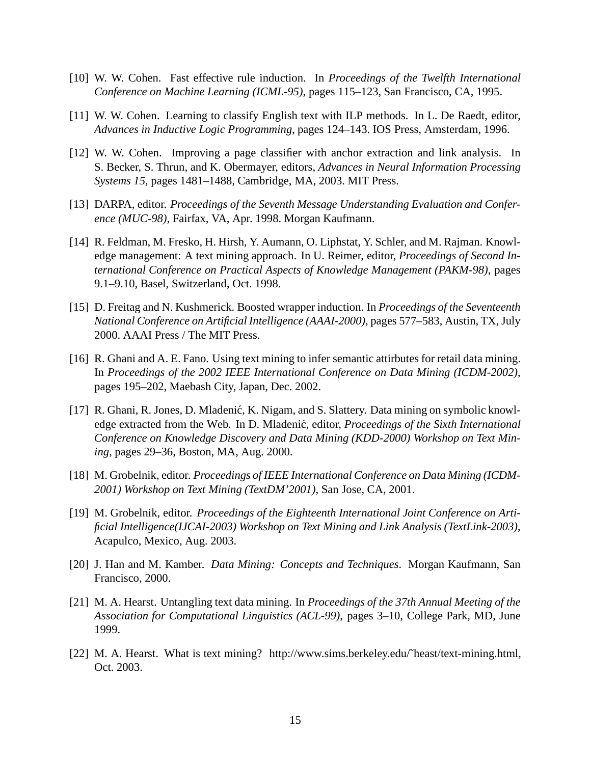- [10] W. W. Cohen. Fast effective rule induction. In *Proceedings of the Twelfth International Conference on Machine Learning (ICML-95)*, pages 115–123, San Francisco, CA, 1995.
- [11] W. W. Cohen. Learning to classify English text with ILP methods. In L. De Raedt, editor, *Advances in Inductive Logic Programming*, pages 124–143. IOS Press, Amsterdam, 1996.
- [12] W. W. Cohen. Improving a page classifier with anchor extraction and link analysis. In S. Becker, S. Thrun, and K. Obermayer, editors, *Advances in Neural Information Processing Systems 15*, pages 1481–1488, Cambridge, MA, 2003. MIT Press.
- [13] DARPA, editor. *Proceedings of the Seventh Message Understanding Evaluation and Conference (MUC-98)*, Fairfax, VA, Apr. 1998. Morgan Kaufmann.
- [14] R. Feldman, M. Fresko, H. Hirsh, Y. Aumann, O. Liphstat, Y. Schler, and M. Rajman. Knowledge management: A text mining approach. In U. Reimer, editor, *Proceedings of Second International Conference on Practical Aspects of Knowledge Management (PAKM-98)*, pages 9.1–9.10, Basel, Switzerland, Oct. 1998.
- [15] D. Freitag and N. Kushmerick. Boosted wrapper induction. In *Proceedings of the Seventeenth National Conference on Artificial Intelligence (AAAI-2000)*, pages 577–583, Austin, TX, July 2000. AAAI Press / The MIT Press.
- [16] R. Ghani and A. E. Fano. Using text mining to infer semantic attirbutes for retail data mining. In *Proceedings of the 2002 IEEE International Conference on Data Mining (ICDM-2002)*, pages 195–202, Maebash City, Japan, Dec. 2002.
- [17] R. Ghani, R. Jones, D. Mladenić, K. Nigam, and S. Slattery. Data mining on symbolic knowledge extracted from the Web. In D. Mladenic,´ editor, *Proceedings of the Sixth International Conference on Knowledge Discovery and Data Mining (KDD-2000) Workshop on Text Mining*, pages 29–36, Boston, MA, Aug. 2000.
- [18] M. Grobelnik, editor. *Proceedings of IEEE International Conference on Data Mining (ICDM-2001) Workshop on Text Mining (TextDM'2001)*, San Jose, CA, 2001.
- [19] M. Grobelnik, editor. *Proceedings of the Eighteenth International Joint Conference on Artificial Intelligence(IJCAI-2003) Workshop on Text Mining and Link Analysis (TextLink-2003)*, Acapulco, Mexico, Aug. 2003.
- [20] J. Han and M. Kamber. *Data Mining: Concepts and Techniques*. Morgan Kaufmann, San Francisco, 2000.
- [21] M. A. Hearst. Untangling text data mining. In *Proceedings of the 37th Annual Meeting of the Association for Computational Linguistics (ACL-99)*, pages 3–10, College Park, MD, June 1999.
- [22] M. A. Hearst. What is text mining? http://www.sims.berkeley.edu/~heast/text-mining.html, Oct. 2003.